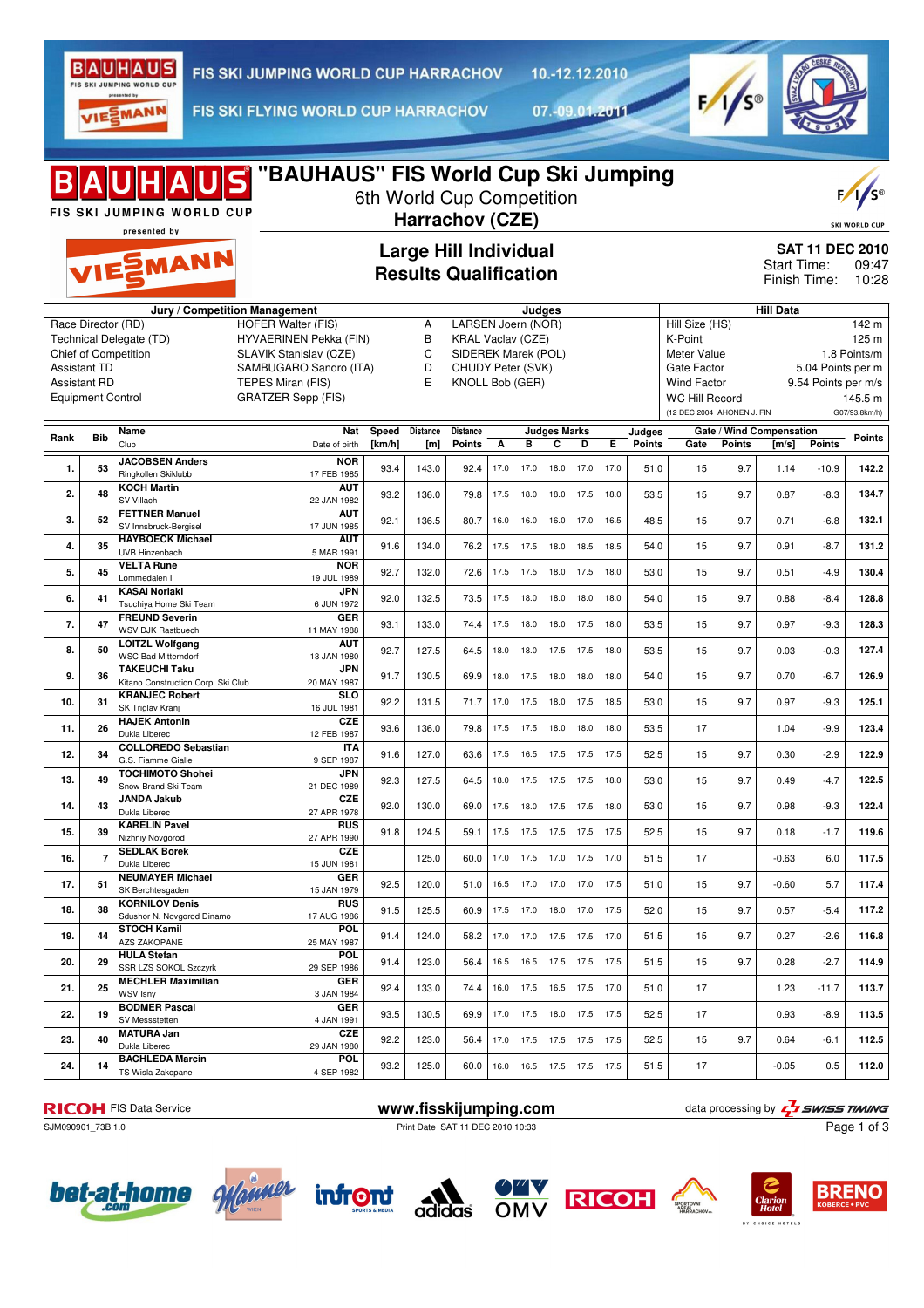

10.-12.12.2010

VIESMANN

FIS SKI FLYING WORLD CUP HARRACHOV

07.-09.01.2011



|                                                                                                                                                        |            | <b>AIUIS</b><br>FIS SKI JUMPING WORLD CUP                                 | "BAUHAUS" FIS World Cup Ski Jumping                                                                                                                       |                 |                        | 6th World Cup Competition                                                       |                                                                                                               |              |                                                      |              |                  |                  |                                                                                                                                                                                                  |               |                                   |                                                                                                 |                |  |
|--------------------------------------------------------------------------------------------------------------------------------------------------------|------------|---------------------------------------------------------------------------|-----------------------------------------------------------------------------------------------------------------------------------------------------------|-----------------|------------------------|---------------------------------------------------------------------------------|---------------------------------------------------------------------------------------------------------------|--------------|------------------------------------------------------|--------------|------------------|------------------|--------------------------------------------------------------------------------------------------------------------------------------------------------------------------------------------------|---------------|-----------------------------------|-------------------------------------------------------------------------------------------------|----------------|--|
| presented by<br>VIESMANN                                                                                                                               |            |                                                                           |                                                                                                                                                           |                 |                        | Harrachov (CZE)<br><b>Large Hill Individual</b><br><b>Results Qualification</b> |                                                                                                               |              |                                                      |              |                  |                  |                                                                                                                                                                                                  |               |                                   | <b>SKI WORLD CUP</b><br><b>SAT 11 DEC 2010</b><br>09:47<br>Start Time:<br>Finish Time:<br>10:28 |                |  |
|                                                                                                                                                        |            | Jury / Competition Management                                             |                                                                                                                                                           |                 |                        | Judges                                                                          |                                                                                                               |              |                                                      |              | <b>Hill Data</b> |                  |                                                                                                                                                                                                  |               |                                   |                                                                                                 |                |  |
| Race Director (RD)<br>Technical Delegate (TD)<br><b>Chief of Competition</b><br><b>Assistant TD</b><br><b>Assistant RD</b><br><b>Equipment Control</b> |            |                                                                           | <b>HOFER Walter (FIS)</b><br>HYVAERINEN Pekka (FIN)<br>SLAVIK Stanislav (CZE)<br>SAMBUGARO Sandro (ITA)<br>TEPES Miran (FIS)<br><b>GRATZER Sepp (FIS)</b> |                 |                        |                                                                                 | LARSEN Joern (NOR)<br><b>KRAL Vaclav (CZE)</b><br>SIDEREK Marek (POL)<br>CHUDY Peter (SVK)<br>KNOLL Bob (GER) |              |                                                      |              |                  |                  | Hill Size (HS)<br>K-Point<br>Meter Value<br>1.8 Points/m<br>5.04 Points per m<br>Gate Factor<br><b>Wind Factor</b><br>9.54 Points per m/s<br><b>WC Hill Record</b><br>(12 DEC 2004 AHONEN J. FIN |               |                                   | 142 m<br>125 m<br>145.5 m<br>G07/93.8km/h)                                                      |                |  |
| Rank                                                                                                                                                   | <b>Bib</b> | Name<br>Club                                                              | Nat<br>Date of birth                                                                                                                                      | Speed<br>[km/h] | <b>Distance</b><br>[m] | <b>Distance</b><br><b>Points</b>                                                | A                                                                                                             | в            | <b>Judges Marks</b><br>C                             | D            | E.               | Judges<br>Points | Gate                                                                                                                                                                                             | <b>Points</b> | Gate / Wind Compensation<br>[m/s] | Points                                                                                          | Points         |  |
| 1.                                                                                                                                                     | 53         | <b>JACOBSEN Anders</b><br>Ringkollen Skiklubb                             | <b>NOR</b><br>17 FEB 1985                                                                                                                                 | 93.4            | 143.0                  | 92.4                                                                            | 17.0                                                                                                          | 17.0         | 18.0                                                 | 17.0         | 17.0             | 51.0             | 15                                                                                                                                                                                               | 9.7           | 1.14                              | $-10.9$                                                                                         | 142.2          |  |
| 2.                                                                                                                                                     | 48         | <b>KOCH Martin</b><br>SV Villach                                          | <b>AUT</b><br>22 JAN 1982                                                                                                                                 | 93.2            | 136.0                  | 79.8                                                                            | 17.5                                                                                                          | 18.0         | 18.0                                                 | 17.5         | 18.0             | 53.5             | 15                                                                                                                                                                                               | 9.7           | 0.87                              | -8.3                                                                                            | 134.7          |  |
| 3.                                                                                                                                                     | 52         | <b>FETTNER Manuel</b><br>SV Innsbruck-Bergisel<br><b>HAYBOECK Michael</b> | <b>AUT</b><br>17 JUN 1985                                                                                                                                 | 92.1            | 136.5                  | 80.7                                                                            | 16.0                                                                                                          | 16.0         | 16.0                                                 | 17.0 16.5    |                  | 48.5             | 15                                                                                                                                                                                               | 9.7           | 0.71                              | $-6.8$                                                                                          | 132.1          |  |
| 4.                                                                                                                                                     | 35         | UVB Hinzenbach<br><b>VELTA Rune</b>                                       | <b>AUT</b><br>5 MAR 1991<br><b>NOR</b>                                                                                                                    | 91.6            | 134.0                  | 76.2                                                                            | 17.5                                                                                                          | 17.5         | 18.0                                                 | 18.5         | 18.5             | 54.0             | 15                                                                                                                                                                                               | 9.7           | 0.91                              | $-8.7$                                                                                          | 131.2          |  |
| 5.<br>6.                                                                                                                                               | 45<br>41   | Lommedalen II<br><b>KASAI Noriaki</b>                                     | 19 JUL 1989<br>JPN                                                                                                                                        | 92.7<br>92.0    | 132.0<br>132.5         | 72.6<br>73.5                                                                    | 17.5<br>17.5                                                                                                  | 17.5<br>18.0 | 18.0<br>18.0                                         | 17.5<br>18.0 | 18.0<br>18.0     | 53.0<br>54.0     | 15<br>15                                                                                                                                                                                         | 9.7<br>9.7    | 0.51<br>0.88                      | -4.9<br>$-8.4$                                                                                  | 130.4<br>128.8 |  |
| 7.                                                                                                                                                     | 47         | Tsuchiya Home Ski Team<br><b>FREUND Severin</b><br>WSV DJK Rastbuechl     | 6 JUN 1972<br>GER<br>11 MAY 1988                                                                                                                          | 93.1            | 133.0                  | 74.4                                                                            | 17.5                                                                                                          | 18.0         | 18.0                                                 | 17.5         | 18.0             | 53.5             | 15                                                                                                                                                                                               | 9.7           | 0.97                              | $-9.3$                                                                                          | 128.3          |  |
| 8.                                                                                                                                                     | 50         | <b>LOITZL Wolfgang</b><br><b>WSC Bad Mitterndorf</b>                      | <b>AUT</b><br>13 JAN 1980                                                                                                                                 | 92.7            | 127.5                  | 64.5                                                                            | 18.0                                                                                                          | 18.0         | 17.5                                                 | 17.5         | 18.0             | 53.5             | 15                                                                                                                                                                                               | 9.7           | 0.03                              | $-0.3$                                                                                          | 127.4          |  |
| 9.                                                                                                                                                     | 36         | <b>TAKEUCHI Taku</b><br>Kitano Construction Corp. Ski Club                | JPN<br>20 MAY 1987                                                                                                                                        | 91.7            | 130.5                  | 69.9                                                                            | 18.0                                                                                                          | 17.5         | 18.0                                                 | 18.0         | 18.0             | 54.0             | 15                                                                                                                                                                                               | 9.7           | 0.70                              | $-6.7$                                                                                          | 126.9          |  |
| 10.                                                                                                                                                    | 31         | <b>KRANJEC Robert</b><br>SK Triglav Kranj<br><b>HAJEK Antonin</b>         | <b>SLO</b><br>16 JUL 1981<br><b>CZE</b>                                                                                                                   | 92.2            | 131.5                  | 71.7                                                                            | 17.0                                                                                                          | 17.5         | 18.0                                                 | 17.5         | 18.5             | 53.0             | 15                                                                                                                                                                                               | 9.7           | 0.97                              | $-9.3$                                                                                          | 125.1          |  |
| 11.                                                                                                                                                    | 26         | Dukla Liberec<br><b>COLLOREDO Sebastian</b>                               | 12 FEB 1987<br><b>ITA</b>                                                                                                                                 | 93.6            | 136.0                  | 79.8                                                                            |                                                                                                               | 17.5 17.5    | 18.0                                                 | 18.0         | 18.0             | 53.5             | 17                                                                                                                                                                                               |               | 1.04                              | $-9.9$                                                                                          | 123.4          |  |
| 12.                                                                                                                                                    | 34         | G.S. Fiamme Gialle<br><b>TOCHIMOTO Shohei</b>                             | 9 SEP 1987<br>JPN                                                                                                                                         | 91.6            | 127.0                  | 63.6                                                                            |                                                                                                               | 17.5 16.5    | 17.5 17.5 17.5                                       |              |                  | 52.5             | 15                                                                                                                                                                                               | 9.7           | 0.30                              | $-2.9$                                                                                          | 122.9          |  |
| 13.                                                                                                                                                    | 49         | Snow Brand Ski Team<br><b>JANDA Jakub</b>                                 | 21 DEC 1989<br><b>CZE</b>                                                                                                                                 | 92.3            | 127.5                  | 64.5                                                                            | 18.0                                                                                                          | 17.5         | 17.5                                                 | 17.5         | 18.0             | 53.0             | 15                                                                                                                                                                                               | 9.7           | 0.49                              | $-4.7$                                                                                          | 122.5          |  |
| 14.                                                                                                                                                    | 43         | Dukla Liberec<br><b>KARELIN Pavel</b>                                     | 27 APR 1978<br><b>RUS</b>                                                                                                                                 | 92.0            | 130.0                  | 69.0                                                                            | 17.5                                                                                                          | 18.0         | 17.5                                                 | 17.5         | 18.0             | 53.0             | 15                                                                                                                                                                                               | 9.7           | 0.98                              | -9.3                                                                                            | 122.4          |  |
| 15.                                                                                                                                                    | 39         | Nizhniy Novgorod<br><b>SEDLAK Borek</b>                                   | 27 APR 1990<br>CZE                                                                                                                                        | 91.8            | 124.5                  | 59.1                                                                            |                                                                                                               | 17.5 17.5    | 17.5                                                 | 17.5         | 17.5             | 52.5             | 15                                                                                                                                                                                               | 9.7           | 0.18                              | $-1.7$                                                                                          | 119.6          |  |
| 16.<br>17.                                                                                                                                             | 7<br>51    | Dukla Liberec<br><b>NEUMAYER Michael</b>                                  | 15 JUN 1981<br>GER                                                                                                                                        | 92.5            | 125.0<br>120.0         | 60.0<br>51.0                                                                    |                                                                                                               |              | 17.0 17.5 17.0 17.5 17.0<br>16.5 17.0 17.0 17.0 17.5 |              |                  | 51.5<br>51.0     | 17<br>15                                                                                                                                                                                         | 9.7           | $-0.63$<br>$-0.60$                | 6.0<br>5.7                                                                                      | 117.5<br>117.4 |  |
| 18.                                                                                                                                                    | 38         | SK Berchtesgaden<br><b>KORNILOV Denis</b>                                 | 15 JAN 1979<br><b>RUS</b>                                                                                                                                 | 91.5            | 125.5                  | 60.9                                                                            |                                                                                                               |              | 17.5 17.0 18.0 17.0 17.5                             |              |                  | 52.0             | 15                                                                                                                                                                                               | 9.7           | 0.57                              | -5.4                                                                                            | 117.2          |  |
| 19.                                                                                                                                                    | 44         | Sdushor N. Novgorod Dinamo<br><b>STOCH Kamil</b><br><b>AZS ZAKOPANE</b>   | 17 AUG 1986<br><b>POL</b><br>25 MAY 1987                                                                                                                  | 91.4            | 124.0                  | 58.2                                                                            |                                                                                                               |              | 17.0 17.0 17.5 17.5 17.0                             |              |                  | 51.5             | 15                                                                                                                                                                                               | 9.7           | 0.27                              | $-2.6$                                                                                          | 116.8          |  |
| 20.                                                                                                                                                    | 29         | <b>HULA Stefan</b><br>SSR LZS SOKOL Szczyrk                               | POL<br>29 SEP 1986                                                                                                                                        | 91.4            | 123.0                  | 56.4                                                                            |                                                                                                               |              | 16.5 16.5 17.5 17.5 17.5                             |              |                  | 51.5             | 15                                                                                                                                                                                               | 9.7           | 0.28                              | -2.7                                                                                            | 114.9          |  |
| 21.                                                                                                                                                    | 25         | <b>MECHLER Maximilian</b><br>WSV Isnv                                     | GER<br>3 JAN 1984                                                                                                                                         | 92.4            | 133.0                  | 74.4                                                                            |                                                                                                               |              | 16.0 17.5 16.5 17.5 17.0                             |              |                  | 51.0             | 17                                                                                                                                                                                               |               | 1.23                              | $-11.7$                                                                                         | 113.7          |  |
| 22.                                                                                                                                                    | 19         | <b>BODMER Pascal</b><br>SV Messstetten                                    | GER<br>4 JAN 1991                                                                                                                                         | 93.5            | 130.5                  | 69.9                                                                            |                                                                                                               |              | 17.0  17.5  18.0  17.5  17.5                         |              |                  | 52.5             | 17                                                                                                                                                                                               |               | 0.93                              | -8.9                                                                                            | 113.5          |  |
| 23.                                                                                                                                                    | 40         | <b>MATURA Jan</b><br>Dukla Liberec                                        | <b>CZE</b><br>29 JAN 1980                                                                                                                                 | 92.2            | 123.0                  | 56.4                                                                            |                                                                                                               |              | 17.0  17.5  17.5  17.5  17.5                         |              |                  | 52.5             | 15                                                                                                                                                                                               | 9.7           | 0.64                              | -6.1                                                                                            | 112.5          |  |
| 24.                                                                                                                                                    | 14         | <b>BACHLEDA Marcin</b><br>TS Wisla Zakopane                               | <b>POL</b><br>4 SEP 1982                                                                                                                                  | 93.2            | 125.0                  | 60.0                                                                            |                                                                                                               |              | 16.0 16.5 17.5 17.5 17.5                             |              |                  | 51.5             | 17                                                                                                                                                                                               |               | $-0.05$                           | 0.5                                                                                             | 112.0          |  |

bet-at-home

SJM090901\_73B 1.0 Print Date SAT 11 DEC 2010 10:33

**RICOH** FIS Data Service **www.fisskijumping.com** data processing by  $\frac{7}{2}$  **swiss TIMING** 

Page 1 of 3

Waiter infront





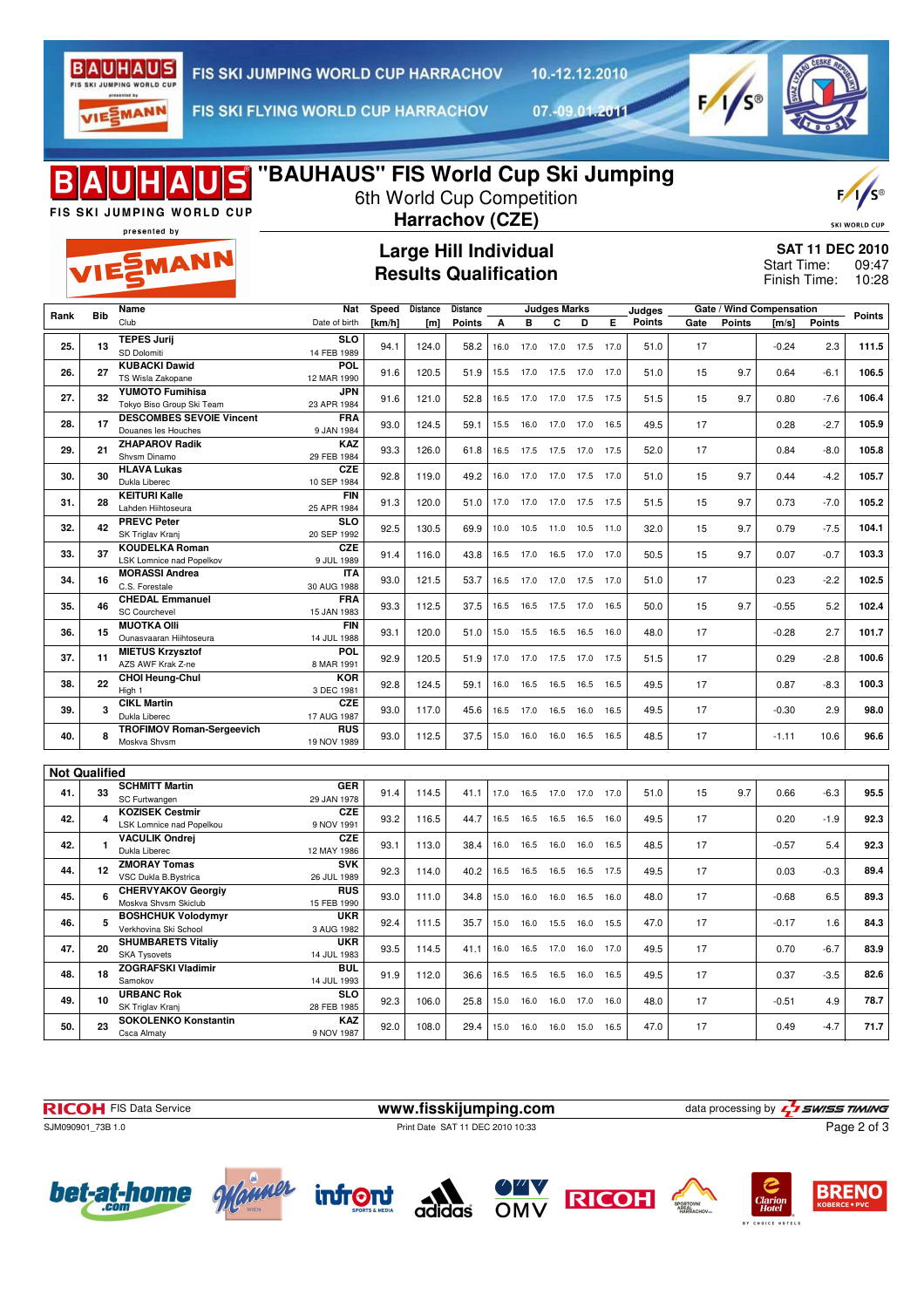

10.-12.12.2010

VIESMANN

FIS SKI FLYING WORLD CUP HARRACHOV

07.-09.01.2011



|                      |            | JIS.<br><b>FIS SKI JUMPING WORLD CUP</b><br>presented by | "BAUHAUS" FIS World Cup Ski Jumping<br>6th World Cup Competition<br>Harrachov (CZE) |                 |                        |                           |      |      |                              |           |      |                  |      | <b>SKI WORLD CUP</b> |                                                                         |               |        |
|----------------------|------------|----------------------------------------------------------|-------------------------------------------------------------------------------------|-----------------|------------------------|---------------------------|------|------|------------------------------|-----------|------|------------------|------|----------------------|-------------------------------------------------------------------------|---------------|--------|
| VIESMANN             |            |                                                          | <b>Large Hill Individual</b><br><b>Results Qualification</b>                        |                 |                        |                           |      |      |                              |           |      |                  |      |                      | <b>SAT 11 DEC 2010</b><br>Start Time:<br>09:47<br>Finish Time:<br>10:28 |               |        |
| Rank                 | <b>Bib</b> | Name<br>Club                                             | Nat<br>Date of birth                                                                | Speed<br>[km/h] | <b>Distance</b><br>[m] | Distance<br><b>Points</b> | A    | в    | <b>Judges Marks</b><br>С     | D         | Е.   | Judges<br>Points | Gate | Points               | Gate / Wind Compensation<br>[m/s]                                       | <b>Points</b> | Points |
| 25.                  | 13         | <b>TEPES Jurij</b>                                       | <b>SLO</b>                                                                          | 94.1            | 124.0                  | 58.2                      | 16.0 |      | 17.0 17.0 17.5 17.0          |           |      | 51.0             | 17   |                      | $-0.24$                                                                 | 2.3           | 111.5  |
|                      |            | SD Dolomiti<br><b>KUBACKI Dawid</b>                      | 14 FEB 1989<br>POL                                                                  |                 |                        |                           |      |      |                              |           |      |                  |      |                      |                                                                         |               |        |
| 26.                  | 27         | TS Wisla Zakopane<br><b>YUMOTO Fumihisa</b>              | 12 MAR 1990<br>JPN                                                                  | 91.6            | 120.5                  | 51.9                      | 15.5 | 17.0 | 17.5                         | 17.0      | 17.0 | 51.0             | 15   | 9.7                  | 0.64                                                                    | $-6.1$        | 106.5  |
| 27.                  | 32         | Tokyo Biso Group Ski Team                                | 23 APR 1984                                                                         | 91.6            | 121.0                  | 52.8                      | 16.5 | 17.0 | 17.0                         | 17.5 17.5 |      | 51.5             | 15   | 9.7                  | 0.80                                                                    | $-7.6$        | 106.4  |
| 28.                  | 17         | <b>DESCOMBES SEVOIE Vincent</b><br>Douanes les Houches   | <b>FRA</b><br>9 JAN 1984                                                            | 93.0            | 124.5                  | 59.1                      | 15.5 | 16.0 | 17.0                         | 17.0      | 16.5 | 49.5             | 17   |                      | 0.28                                                                    | $-2.7$        | 105.9  |
| 29.                  | 21         | <b>ZHAPAROV Radik</b><br>Shysm Dinamo                    | KAZ<br>29 FEB 1984                                                                  | 93.3            | 126.0                  | 61.8                      | 16.5 | 17.5 | 17.5 17.0 17.5               |           |      | 52.0             | 17   |                      | 0.84                                                                    | $-8.0$        | 105.8  |
| 30.                  | 30         | <b>HLAVA Lukas</b><br>Dukla Liberec                      | CZE<br>10 SEP 1984                                                                  | 92.8            | 119.0                  | 49.2                      | 16.0 | 17.0 | 17.0 17.5 17.0               |           |      | 51.0             | 15   | 9.7                  | 0.44                                                                    | $-4.2$        | 105.7  |
| 31.                  | 28         | <b>KEITURI Kalle</b><br>Lahden Hiihtoseura               | <b>FIN</b><br>25 APR 1984                                                           | 91.3            | 120.0                  | 51.0                      | 17.0 | 17.0 | 17.0                         | 17.5 17.5 |      | 51.5             | 15   | 9.7                  | 0.73                                                                    | $-7.0$        | 105.2  |
| 32.                  | 42         | <b>PREVC Peter</b>                                       | SLO                                                                                 | 92.5            | 130.5                  | 69.9                      | 10.0 | 10.5 | 11.0                         | 10.5 11.0 |      | 32.0             | 15   | 9.7                  | 0.79                                                                    | $-7.5$        | 104.1  |
| 33.                  | 37         | SK Triglav Kranj<br><b>KOUDELKA Roman</b>                | 20 SEP 1992<br><b>CZE</b>                                                           | 91.4            | 116.0                  | 43.8                      | 16.5 | 17.0 | 16.5                         | 17.0      | 17.0 | 50.5             | 15   | 9.7                  | 0.07                                                                    | $-0.7$        | 103.3  |
|                      |            | LSK Lomnice nad Popelkov<br><b>MORASSI Andrea</b>        | 9 JUL 1989<br><b>ITA</b>                                                            |                 |                        |                           |      |      |                              |           |      |                  |      |                      |                                                                         |               |        |
| 34.                  | 16         | C.S. Forestale<br><b>CHEDAL Emmanuel</b>                 | 30 AUG 1988<br><b>FRA</b>                                                           | 93.0            | 121.5                  | 53.7                      | 16.5 | 17.0 | 17.0 17.5 17.0               |           |      | 51.0             | 17   |                      | 0.23                                                                    | $-2.2$        | 102.5  |
| 35.                  | 46         | <b>SC Courchevel</b>                                     | 15 JAN 1983                                                                         | 93.3            | 112.5                  | 37.5                      | 16.5 | 16.5 | 17.5                         | 17.0      | 16.5 | 50.0             | 15   | 9.7                  | $-0.55$                                                                 | 5.2           | 102.4  |
| 36.                  | 15         | <b>MUOTKA OIII</b><br>Ounasvaaran Hiihtoseura            | <b>FIN</b><br>14 JUL 1988                                                           | 93.1            | 120.0                  | 51.0                      | 15.0 | 15.5 | 16.5                         | 16.5      | 16.0 | 48.0             | 17   |                      | $-0.28$                                                                 | 2.7           | 101.7  |
| 37.                  | 11         | <b>MIETUS Krzysztof</b><br>AZS AWF Krak Z-ne             | <b>POL</b><br>8 MAR 1991                                                            | 92.9            | 120.5                  | 51.9                      | 17.0 | 17.0 | 17.5                         | 17.0 17.5 |      | 51.5             | 17   |                      | 0.29                                                                    | $-2.8$        | 100.6  |
| 38.                  | 22         | <b>CHOI Heung-Chul</b><br>High 1                         | <b>KOR</b><br>3 DEC 1981                                                            | 92.8            | 124.5                  | 59.1                      | 16.0 | 16.5 | 16.5                         | 16.5 16.5 |      | 49.5             | 17   |                      | 0.87                                                                    | $-8.3$        | 100.3  |
| 39.                  | 3          | <b>CIKL Martin</b>                                       | CZE                                                                                 | 93.0            | 117.0                  | 45.6                      | 16.5 | 17.0 | 16.5                         | 16.0 16.5 |      | 49.5             | 17   |                      | $-0.30$                                                                 | 2.9           | 98.0   |
| 40.                  | 8          | Dukla Liberec<br><b>TROFIMOV Roman-Sergeevich</b>        | 17 AUG 1987<br><b>RUS</b>                                                           | 93.0            | 112.5                  | 37.5                      | 15.0 | 16.0 | 16.0                         | 16.5      | 16.5 | 48.5             | 17   |                      | $-1.11$                                                                 | 10.6          | 96.6   |
|                      |            | Moskva Shvsm                                             | 19 NOV 1989                                                                         |                 |                        |                           |      |      |                              |           |      |                  |      |                      |                                                                         |               |        |
| <b>Not Qualified</b> |            |                                                          |                                                                                     |                 |                        |                           |      |      |                              |           |      |                  |      |                      |                                                                         |               |        |
| 41.                  | 33         | <b>SCHMITT Martin</b><br>SC Furtwangen                   | <b>GER</b><br>29 JAN 1978                                                           | 91.4            | 114.5                  | 41.1                      | 17.0 |      | 16.5 17.0 17.0 17.0          |           |      | 51.0             | 15   | 9.7                  | 0.66                                                                    | $-6.3$        | 95.5   |
| 42.                  |            | <b>KOZISEK Cestmir</b><br>LSK Lomnice nad Popelkou       | CZE<br>9 NOV 1991                                                                   | 93.2            | 116.5                  | 44.7                      | 16.5 | 16.5 | 16.5                         | 16.5      | 16.0 | 49.5             | 17   |                      | 0.20                                                                    | $-1.9$        | 92.3   |
| 42.                  |            | <b>VACULIK Ondrei</b><br>Dukla Liberec                   | CZE<br>12 MAY 1986                                                                  | 93.1            | 113.0                  | 38.4                      |      |      | 16.0  16.5  16.0  16.0  16.5 |           |      | 48.5             | 17   |                      | 0.57                                                                    | 5.4           | 92.3   |
| 44.                  | 12         | <b>ZMORAY Tomas</b>                                      | <b>SVK</b>                                                                          | 92.3            | 114.0                  | 40.2                      |      |      | 16.5 16.5 16.5 16.5 17.5     |           |      | 49.5             | 17   |                      | 0.03                                                                    | $-0.3$        | 89.4   |
| 45.                  | 6          | VSC Dukla B.Bystrica<br><b>CHERVYAKOV Georgiv</b>        | 26 JUL 1989<br><b>RUS</b>                                                           | 93.0            | 111.0                  | 34.8                      |      |      | 15.0  16.0  16.0  16.5  16.0 |           |      | 48.0             | 17   |                      | $-0.68$                                                                 | 6.5           | 89.3   |
|                      |            | Moskva Shvsm Skiclub<br><b>BOSHCHUK Volodymyr</b>        | 15 FEB 1990<br><b>UKR</b>                                                           |                 |                        |                           | 15.0 |      |                              |           |      | 47.0             |      |                      |                                                                         | 1.6           |        |
| 46.                  | 5          | Verkhovina Ski School<br><b>SHUMBARETS Vitaliy</b>       | 3 AUG 1982<br><b>UKR</b>                                                            | 92.4            | 111.5                  | 35.7                      |      |      | 16.0 15.5 16.0 15.5          |           |      |                  | 17   |                      | $-0.17$                                                                 |               | 84.3   |
| 47.                  | 20         | <b>SKA Tysovets</b><br><b>ZOGRAFSKI Vladimir</b>         | 14 JUL 1983<br><b>BUL</b>                                                           | 93.5            | 114.5                  | 41.1                      | 16.0 |      | 16.5 17.0 16.0 17.0          |           |      | 49.5             | 17   |                      | 0.70                                                                    | $-6.7$        | 83.9   |
| 48.                  | 18         | Samokov                                                  | 14 JUL 1993                                                                         | 91.9            | 112.0                  | 36.6                      | 16.5 |      | 16.5 16.5 16.0 16.5          |           |      | 49.5             | 17   |                      | 0.37                                                                    | $-3.5$        | 82.6   |
| 49.                  | 10         | <b>URBANC Rok</b><br>SK Triglav Kranj                    | <b>SLO</b><br>28 FEB 1985                                                           | 92.3            | 106.0                  | 25.8                      |      |      | 15.0  16.0  16.0  17.0  16.0 |           |      | 48.0             | 17   |                      | $-0.51$                                                                 | 4.9           | 78.7   |
| 50.                  | 23         | <b>SOKOLENKO Konstantin</b><br>Csca Almaty               | KAZ<br>9 NOV 1987                                                                   | 92.0            | 108.0                  | 29.4                      |      |      | 15.0  16.0  16.0  15.0  16.5 |           |      | 47.0             | 17   |                      | 0.49                                                                    | $-4.7$        | 71.7   |

**RICOH** FIS Data Service data processing by **T** swiss TIMING www.fisskijumping.com SJM090901\_73B 1.0 Print Date SAT 11 DEC 2010 10:33 Page 2 of 3